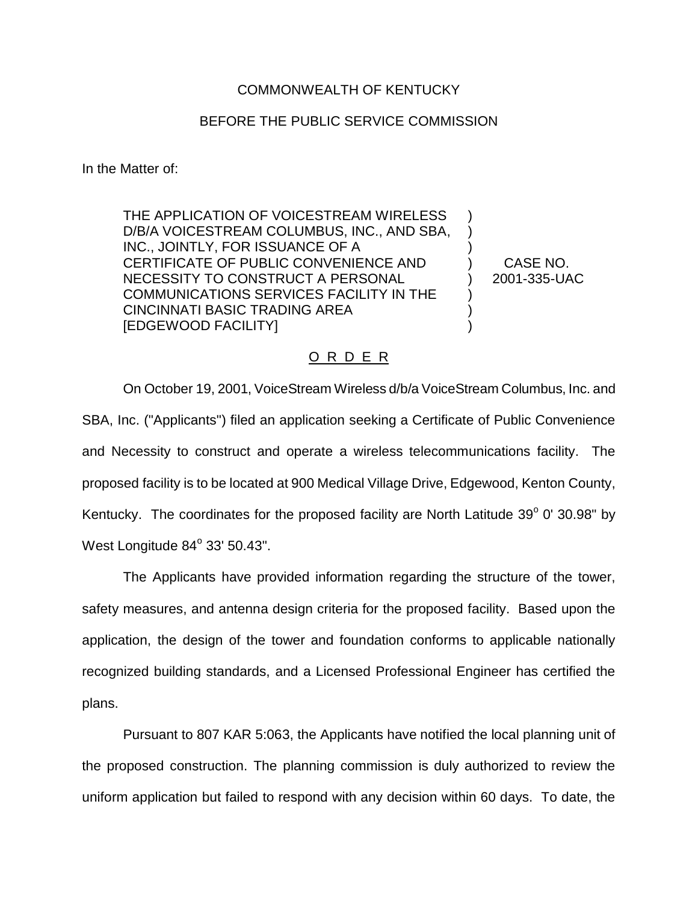## COMMONWEALTH OF KENTUCKY

## BEFORE THE PUBLIC SERVICE COMMISSION

In the Matter of:

THE APPLICATION OF VOICESTREAM WIRELESS D/B/A VOICESTREAM COLUMBUS, INC., AND SBA, INC., JOINTLY, FOR ISSUANCE OF A CERTIFICATE OF PUBLIC CONVENIENCE AND NECESSITY TO CONSTRUCT A PERSONAL COMMUNICATIONS SERVICES FACILITY IN THE CINCINNATI BASIC TRADING AREA [EDGEWOOD FACILITY]

CASE NO. 2001-335-UAC

) ) ) ) ) ) ) )

## O R D E R

On October 19, 2001, VoiceStream Wireless d/b/a VoiceStream Columbus, Inc. and SBA, Inc. ("Applicants") filed an application seeking a Certificate of Public Convenience and Necessity to construct and operate a wireless telecommunications facility. The proposed facility is to be located at 900 Medical Village Drive, Edgewood, Kenton County, Kentucky. The coordinates for the proposed facility are North Latitude  $39^{\circ}$  0' 30.98" by West Longitude  $84^\circ$  33' 50.43".

The Applicants have provided information regarding the structure of the tower, safety measures, and antenna design criteria for the proposed facility. Based upon the application, the design of the tower and foundation conforms to applicable nationally recognized building standards, and a Licensed Professional Engineer has certified the plans.

Pursuant to 807 KAR 5:063, the Applicants have notified the local planning unit of the proposed construction. The planning commission is duly authorized to review the uniform application but failed to respond with any decision within 60 days. To date, the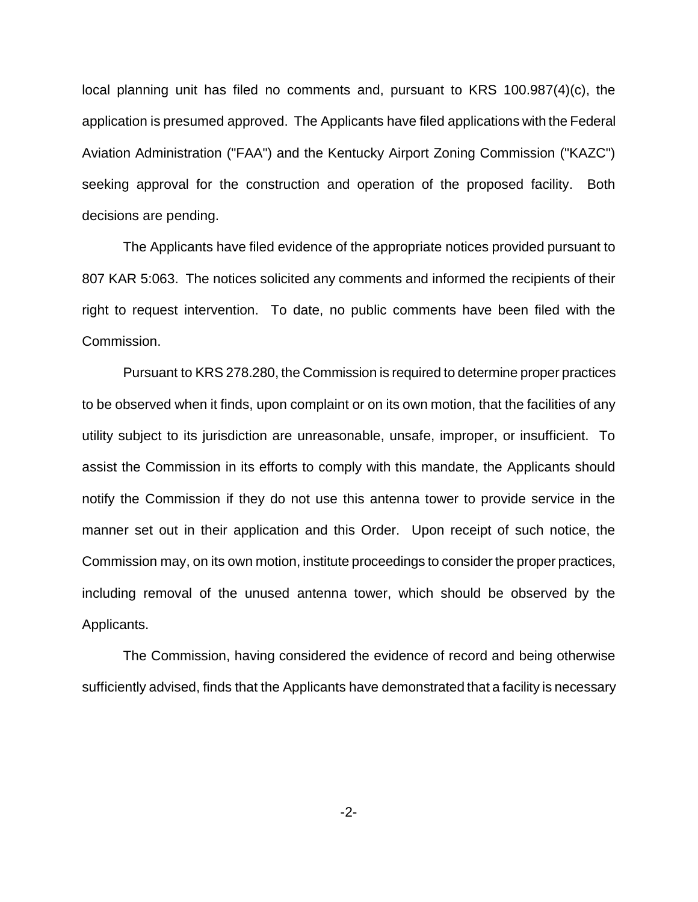local planning unit has filed no comments and, pursuant to KRS 100.987(4)(c), the application is presumed approved. The Applicants have filed applications with the Federal Aviation Administration ("FAA") and the Kentucky Airport Zoning Commission ("KAZC") seeking approval for the construction and operation of the proposed facility. Both decisions are pending.

The Applicants have filed evidence of the appropriate notices provided pursuant to 807 KAR 5:063. The notices solicited any comments and informed the recipients of their right to request intervention. To date, no public comments have been filed with the Commission.

Pursuant to KRS 278.280, the Commission is required to determine proper practices to be observed when it finds, upon complaint or on its own motion, that the facilities of any utility subject to its jurisdiction are unreasonable, unsafe, improper, or insufficient. To assist the Commission in its efforts to comply with this mandate, the Applicants should notify the Commission if they do not use this antenna tower to provide service in the manner set out in their application and this Order. Upon receipt of such notice, the Commission may, on its own motion, institute proceedings to consider the proper practices, including removal of the unused antenna tower, which should be observed by the Applicants.

The Commission, having considered the evidence of record and being otherwise sufficiently advised, finds that the Applicants have demonstrated that a facility is necessary

-2-